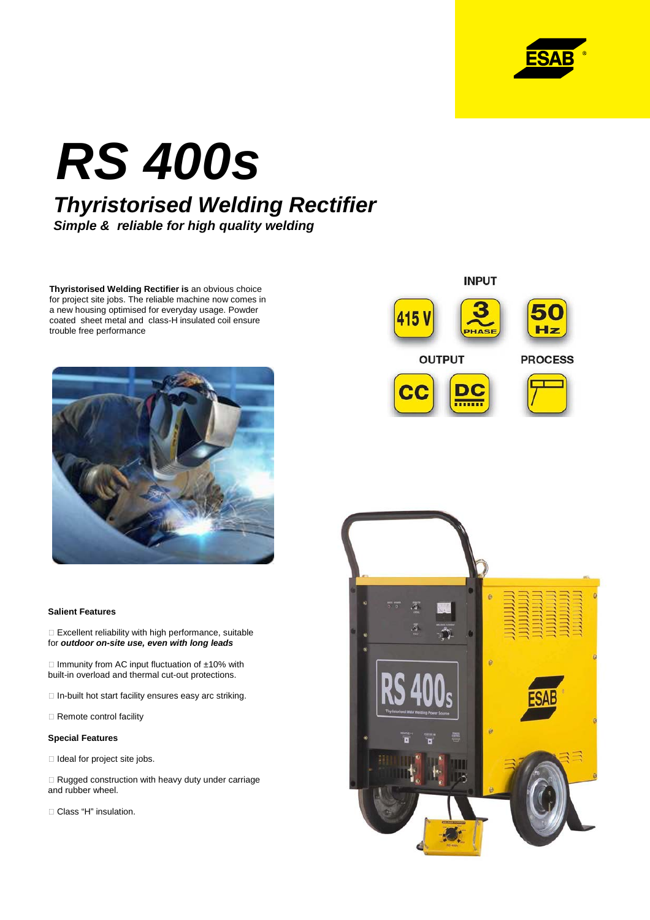

# **RS 400s Thyristorised Welding Rectifier**

**Simple & reliable for high quality welding**

**Thyristorised Welding Rectifier is** an obvious choice for project site jobs. The reliable machine now comes in a new housing optimised for everyday usage. Powder coated sheet metal and class-H insulated coil ensure trouble free performance



#### **Salient Features**

 Excellent reliability with high performance, suitable for **outdoor on-site use, even with long leads**

 Immunity from AC input fluctuation of ±10% with built-in overload and thermal cut-out protections.

In-built hot start facility ensures easy arc striking.

Remote control facility

#### **Special Features**

Ideal for project site jobs.

 Rugged construction with heavy duty under carriage and rubber wheel.

Class "H" insulation.

### **INPUT** 115 V Hz **OUTPUT PROCESS**